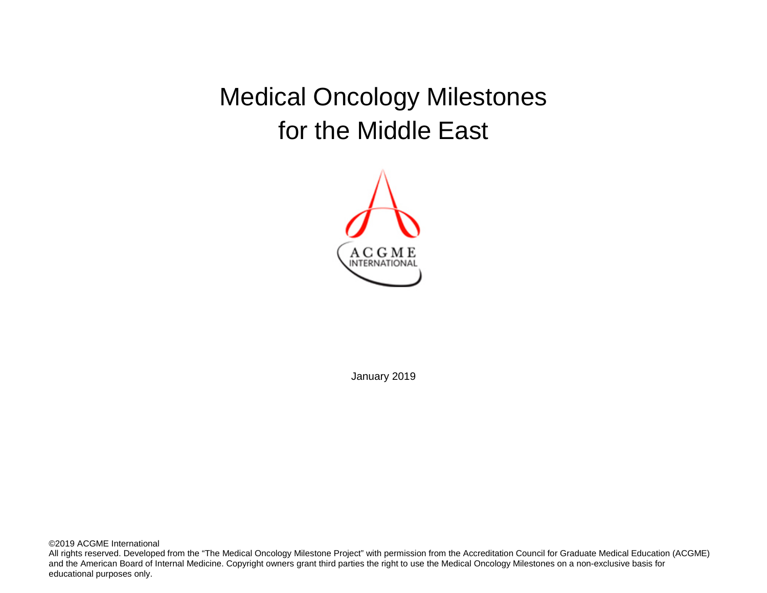Medical Oncology Milestones for the Middle East



January 2019

©2019 ACGME International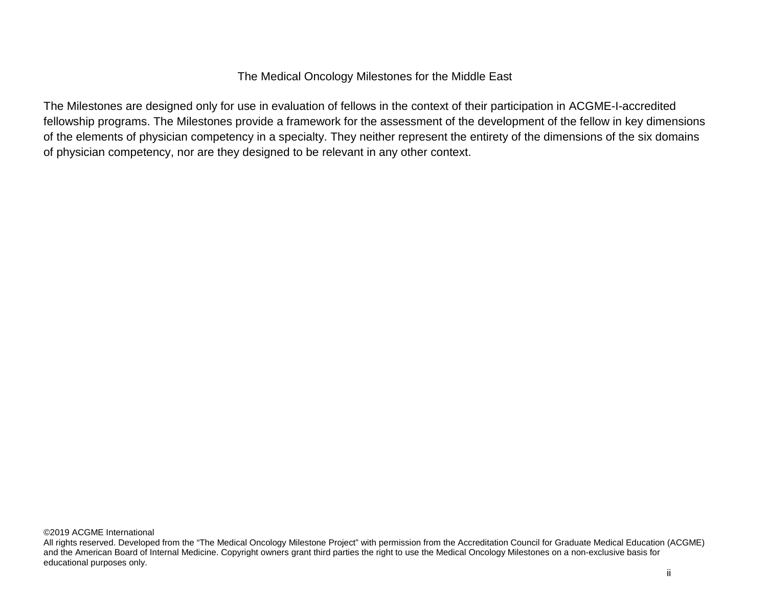## The Medical Oncology Milestones for the Middle East

The Milestones are designed only for use in evaluation of fellows in the context of their participation in ACGME-I-accredited fellowship programs. The Milestones provide a framework for the assessment of the development of the fellow in key dimensions of the elements of physician competency in a specialty. They neither represent the entirety of the dimensions of the six domains of physician competency, nor are they designed to be relevant in any other context.

All rights reserved. Developed from the "The Medical Oncology Milestone Project" with permission from the Accreditation Council for Graduate Medical Education (ACGME) and the American Board of Internal Medicine. Copyright owners grant third parties the right to use the Medical Oncology Milestones on a non-exclusive basis for educational purposes only.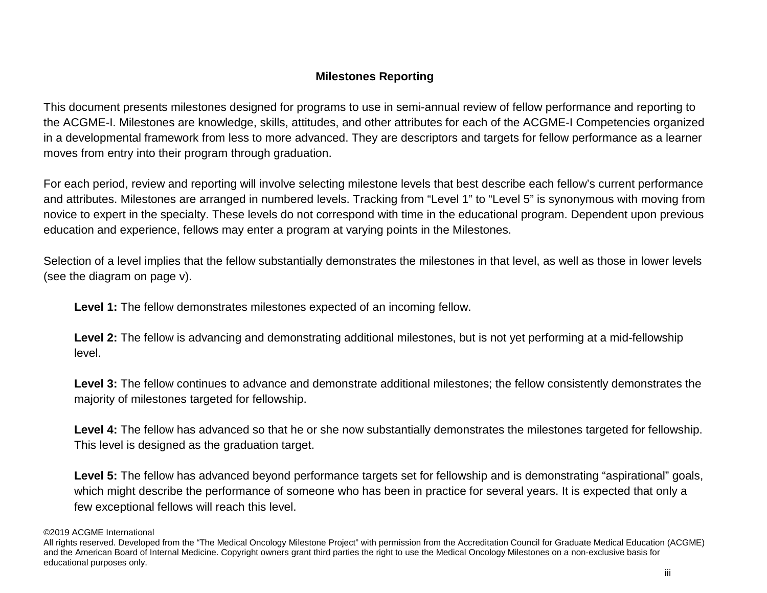# **Milestones Reporting**

This document presents milestones designed for programs to use in semi-annual review of fellow performance and reporting to the ACGME-I. Milestones are knowledge, skills, attitudes, and other attributes for each of the ACGME-I Competencies organized in a developmental framework from less to more advanced. They are descriptors and targets for fellow performance as a learner moves from entry into their program through graduation.

For each period, review and reporting will involve selecting milestone levels that best describe each fellow's current performance and attributes. Milestones are arranged in numbered levels. Tracking from "Level 1" to "Level 5" is synonymous with moving from novice to expert in the specialty. These levels do not correspond with time in the educational program. Dependent upon previous education and experience, fellows may enter a program at varying points in the Milestones.

Selection of a level implies that the fellow substantially demonstrates the milestones in that level, as well as those in lower levels (see the diagram on page v).

**Level 1:** The fellow demonstrates milestones expected of an incoming fellow.

Level 2: The fellow is advancing and demonstrating additional milestones, but is not yet performing at a mid-fellowship level.

**Level 3:** The fellow continues to advance and demonstrate additional milestones; the fellow consistently demonstrates the majority of milestones targeted for fellowship.

Level 4: The fellow has advanced so that he or she now substantially demonstrates the milestones targeted for fellowship. This level is designed as the graduation target.

Level 5: The fellow has advanced beyond performance targets set for fellowship and is demonstrating "aspirational" goals, which might describe the performance of someone who has been in practice for several years. It is expected that only a few exceptional fellows will reach this level.

<sup>©2019</sup> ACGME International

All rights reserved. Developed from the "The Medical Oncology Milestone Project" with permission from the Accreditation Council for Graduate Medical Education (ACGME) and the American Board of Internal Medicine. Copyright owners grant third parties the right to use the Medical Oncology Milestones on a non-exclusive basis for educational purposes only.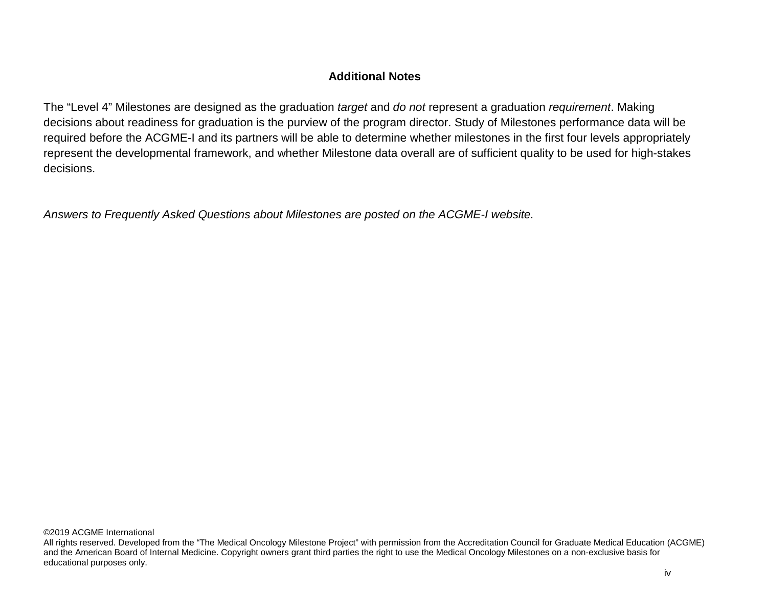## **Additional Notes**

The "Level 4" Milestones are designed as the graduation *target* and *do not* represent a graduation *requirement*. Making decisions about readiness for graduation is the purview of the program director. Study of Milestones performance data will be required before the ACGME-I and its partners will be able to determine whether milestones in the first four levels appropriately represent the developmental framework, and whether Milestone data overall are of sufficient quality to be used for high-stakes decisions.

*Answers to Frequently Asked Questions about Milestones are posted on the ACGME-I website.*

All rights reserved. Developed from the "The Medical Oncology Milestone Project" with permission from the Accreditation Council for Graduate Medical Education (ACGME) and the American Board of Internal Medicine. Copyright owners grant third parties the right to use the Medical Oncology Milestones on a non-exclusive basis for educational purposes only.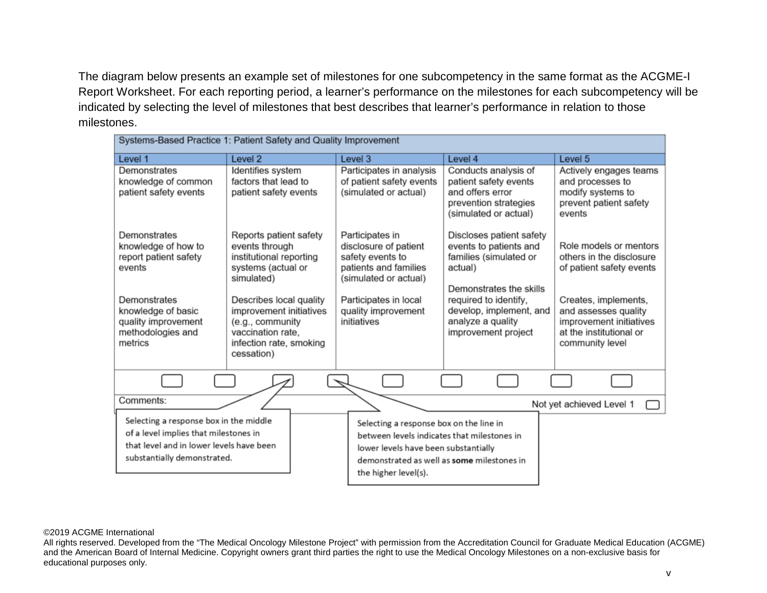The diagram below presents an example set of milestones for one subcompetency in the same format as the ACGME-I Report Worksheet. For each reporting period, a learner's performance on the milestones for each subcompetency will be indicated by selecting the level of milestones that best describes that learner's performance in relation to those milestones.

| Systems-Based Practice 1: Patient Safety and Quality Improvement        |                                                                 |                                                                    |                                                             |                                                                                |
|-------------------------------------------------------------------------|-----------------------------------------------------------------|--------------------------------------------------------------------|-------------------------------------------------------------|--------------------------------------------------------------------------------|
| Level 1                                                                 | Level <sub>2</sub>                                              | Level 3                                                            | Level 4                                                     | Level 5                                                                        |
| Demonstrates                                                            | Identifies system                                               | Participates in analysis                                           | Conducts analysis of                                        | Actively engages teams                                                         |
| knowledge of common<br>patient safety events                            | factors that lead to<br>patient safety events                   | of patient safety events<br>(simulated or actual)                  | patient safety events<br>and offers error                   | and processes to<br>modify systems to                                          |
|                                                                         |                                                                 |                                                                    | prevention strategies<br>(simulated or actual)              | prevent patient safety<br>events                                               |
| Demonstrates                                                            | Reports patient safety                                          | Participates in                                                    | Discloses patient safety                                    |                                                                                |
| knowledge of how to<br>report patient safety<br>events                  | events through<br>institutional reporting<br>systems (actual or | disclosure of patient<br>safety events to<br>patients and families | events to patients and<br>families (simulated or<br>actual) | Role models or mentors<br>others in the disclosure<br>of patient safety events |
|                                                                         | simulated)                                                      | (simulated or actual)                                              | Demonstrates the skills                                     |                                                                                |
| Demonstrates<br>knowledge of basic                                      | Describes local quality<br>improvement initiatives              | Participates in local<br>quality improvement                       | required to identify,<br>develop, implement, and            | Creates, implements,<br>and assesses quality                                   |
| quality improvement<br>methodologies and                                | (e.g., community<br>vaccination rate.                           | initiatives                                                        | analyze a quality<br>improvement project                    | improvement initiatives<br>at the institutional or                             |
| metrics                                                                 | infection rate, smoking<br>cessation)                           |                                                                    |                                                             | community level                                                                |
|                                                                         |                                                                 |                                                                    |                                                             |                                                                                |
|                                                                         |                                                                 |                                                                    |                                                             |                                                                                |
| Comments:                                                               |                                                                 |                                                                    |                                                             | Not yet achieved Level 1                                                       |
| Selecting a response box in the middle                                  |                                                                 | Selecting a response box on the line in                            |                                                             |                                                                                |
| of a level implies that milestones in                                   |                                                                 | between levels indicates that milestones in                        |                                                             |                                                                                |
| that level and in lower levels have been<br>substantially demonstrated. |                                                                 | lower levels have been substantially                               |                                                             |                                                                                |
|                                                                         |                                                                 | demonstrated as well as some milestones in                         |                                                             |                                                                                |
|                                                                         |                                                                 | the higher level(s).                                               |                                                             |                                                                                |

### ©2019 ACGME International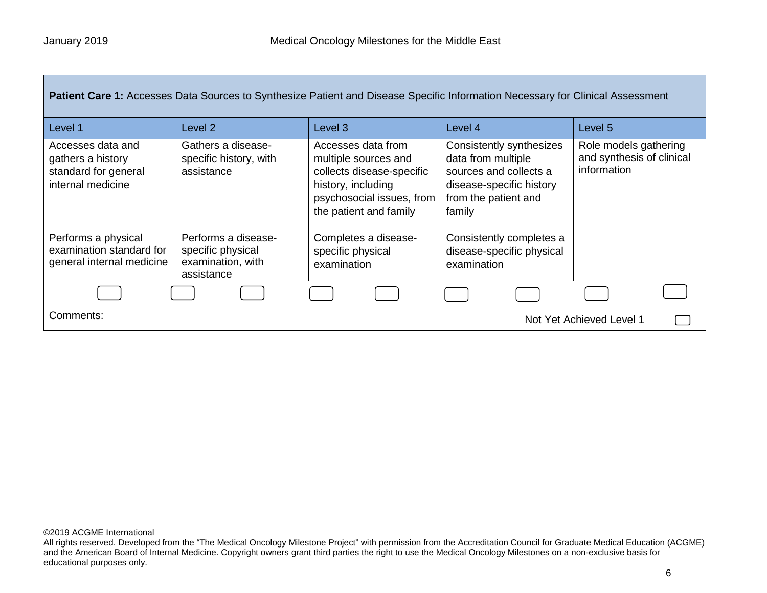| Patient Care 1: Accesses Data Sources to Synthesize Patient and Disease Specific Information Necessary for Clinical Assessment |                                                                             |                                                                                                                                                      |                                                                                                                                        |                                                                   |
|--------------------------------------------------------------------------------------------------------------------------------|-----------------------------------------------------------------------------|------------------------------------------------------------------------------------------------------------------------------------------------------|----------------------------------------------------------------------------------------------------------------------------------------|-------------------------------------------------------------------|
| Level 1                                                                                                                        | Level 2                                                                     | Level 3                                                                                                                                              | Level 4                                                                                                                                | Level 5                                                           |
| Accesses data and<br>gathers a history<br>standard for general<br>internal medicine                                            | Gathers a disease-<br>specific history, with<br>assistance                  | Accesses data from<br>multiple sources and<br>collects disease-specific<br>history, including<br>psychosocial issues, from<br>the patient and family | Consistently synthesizes<br>data from multiple<br>sources and collects a<br>disease-specific history<br>from the patient and<br>family | Role models gathering<br>and synthesis of clinical<br>information |
| Performs a physical<br>examination standard for<br>general internal medicine                                                   | Performs a disease-<br>specific physical<br>examination, with<br>assistance | Completes a disease-<br>specific physical<br>examination                                                                                             | Consistently completes a<br>disease-specific physical<br>examination                                                                   |                                                                   |
|                                                                                                                                |                                                                             |                                                                                                                                                      |                                                                                                                                        |                                                                   |
| Comments:<br>Not Yet Achieved Level 1                                                                                          |                                                                             |                                                                                                                                                      |                                                                                                                                        |                                                                   |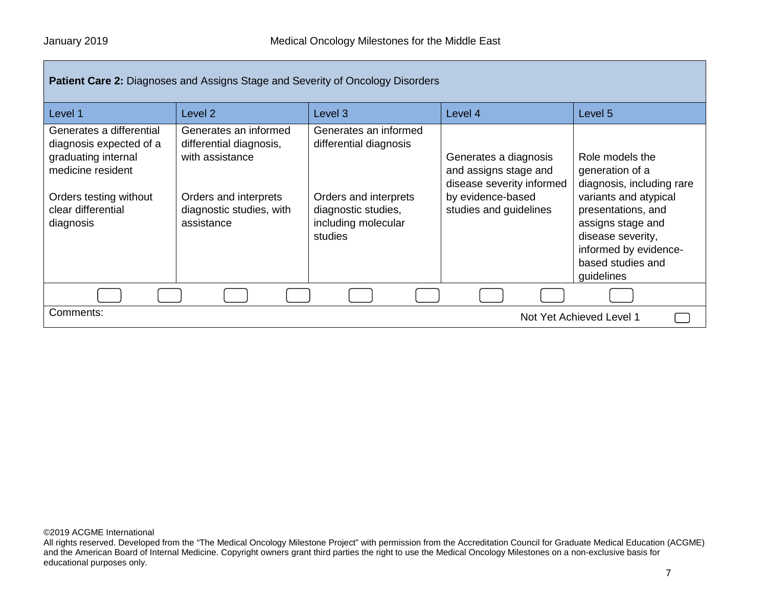| <b>Patient Care 2:</b> Diagnoses and Assigns Stage and Severity of Oncology Disorders                                                                        |                                                                                                                                        |                                                                                                                                   |                                                                                                                            |                                                                                                                                                                                                                      |
|--------------------------------------------------------------------------------------------------------------------------------------------------------------|----------------------------------------------------------------------------------------------------------------------------------------|-----------------------------------------------------------------------------------------------------------------------------------|----------------------------------------------------------------------------------------------------------------------------|----------------------------------------------------------------------------------------------------------------------------------------------------------------------------------------------------------------------|
| Level 1                                                                                                                                                      | Level 2                                                                                                                                | Level 3                                                                                                                           | Level 4                                                                                                                    | Level 5                                                                                                                                                                                                              |
| Generates a differential<br>diagnosis expected of a<br>graduating internal<br>medicine resident<br>Orders testing without<br>clear differential<br>diagnosis | Generates an informed<br>differential diagnosis,<br>with assistance<br>Orders and interprets<br>diagnostic studies, with<br>assistance | Generates an informed<br>differential diagnosis<br>Orders and interprets<br>diagnostic studies,<br>including molecular<br>studies | Generates a diagnosis<br>and assigns stage and<br>disease severity informed<br>by evidence-based<br>studies and guidelines | Role models the<br>generation of a<br>diagnosis, including rare<br>variants and atypical<br>presentations, and<br>assigns stage and<br>disease severity,<br>informed by evidence-<br>based studies and<br>guidelines |
|                                                                                                                                                              |                                                                                                                                        |                                                                                                                                   |                                                                                                                            |                                                                                                                                                                                                                      |
| Comments:<br>Not Yet Achieved Level 1                                                                                                                        |                                                                                                                                        |                                                                                                                                   |                                                                                                                            |                                                                                                                                                                                                                      |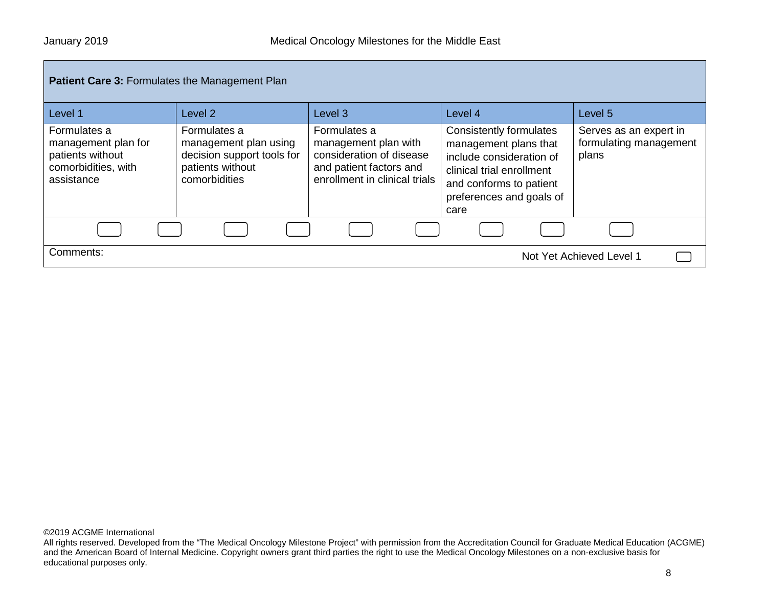| <b>Patient Care 3: Formulates the Management Plan</b>                                        |                                                                                                          |                                                                                                                              |                                                                                                                                                                          |                                                           |
|----------------------------------------------------------------------------------------------|----------------------------------------------------------------------------------------------------------|------------------------------------------------------------------------------------------------------------------------------|--------------------------------------------------------------------------------------------------------------------------------------------------------------------------|-----------------------------------------------------------|
| Level 1                                                                                      | Level <sub>2</sub>                                                                                       | Level <sub>3</sub>                                                                                                           | Level 4                                                                                                                                                                  | Level 5                                                   |
| Formulates a<br>management plan for<br>patients without<br>comorbidities, with<br>assistance | Formulates a<br>management plan using<br>decision support tools for<br>patients without<br>comorbidities | Formulates a<br>management plan with<br>consideration of disease<br>and patient factors and<br>enrollment in clinical trials | Consistently formulates<br>management plans that<br>include consideration of<br>clinical trial enrollment<br>and conforms to patient<br>preferences and goals of<br>care | Serves as an expert in<br>formulating management<br>plans |
|                                                                                              |                                                                                                          |                                                                                                                              |                                                                                                                                                                          |                                                           |
| Comments:                                                                                    |                                                                                                          |                                                                                                                              |                                                                                                                                                                          | Not Yet Achieved Level 1                                  |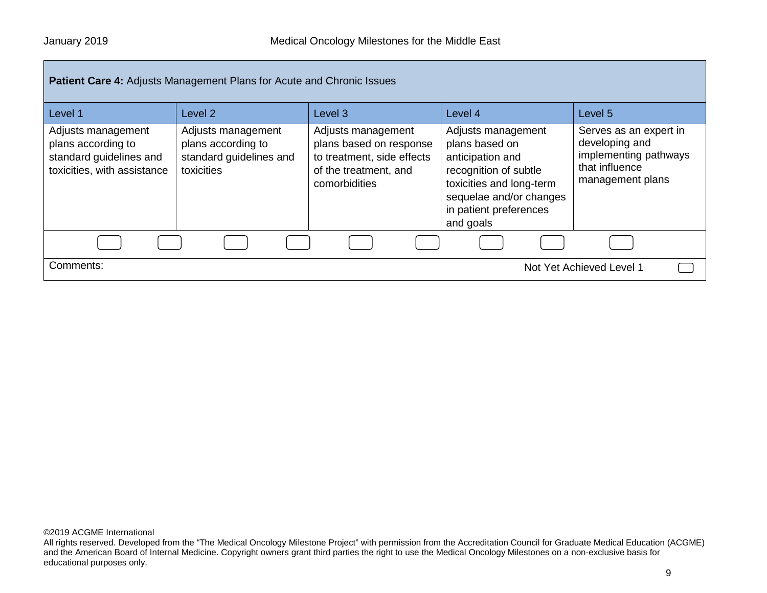| Patient Care 4: Adjusts Management Plans for Acute and Chronic Issues                              |                                                                                   |                                                                                                                       |                                                                                                                                                                                 |                                                                                                         |
|----------------------------------------------------------------------------------------------------|-----------------------------------------------------------------------------------|-----------------------------------------------------------------------------------------------------------------------|---------------------------------------------------------------------------------------------------------------------------------------------------------------------------------|---------------------------------------------------------------------------------------------------------|
| Level 1                                                                                            | Level 2                                                                           | Level <sub>3</sub>                                                                                                    | Level 4                                                                                                                                                                         | Level 5                                                                                                 |
| Adjusts management<br>plans according to<br>standard guidelines and<br>toxicities, with assistance | Adjusts management<br>plans according to<br>standard guidelines and<br>toxicities | Adjusts management<br>plans based on response<br>to treatment, side effects<br>of the treatment, and<br>comorbidities | Adjusts management<br>plans based on<br>anticipation and<br>recognition of subtle<br>toxicities and long-term<br>sequelae and/or changes<br>in patient preferences<br>and goals | Serves as an expert in<br>developing and<br>implementing pathways<br>that influence<br>management plans |
|                                                                                                    |                                                                                   |                                                                                                                       |                                                                                                                                                                                 |                                                                                                         |
| Comments:                                                                                          | Not Yet Achieved Level 1                                                          |                                                                                                                       |                                                                                                                                                                                 |                                                                                                         |

All rights reserved. Developed from the "The Medical Oncology Milestone Project" with permission from the Accreditation Council for Graduate Medical Education (ACGME) and the American Board of Internal Medicine. Copyright owners grant third parties the right to use the Medical Oncology Milestones on a non-exclusive basis for educational purposes only.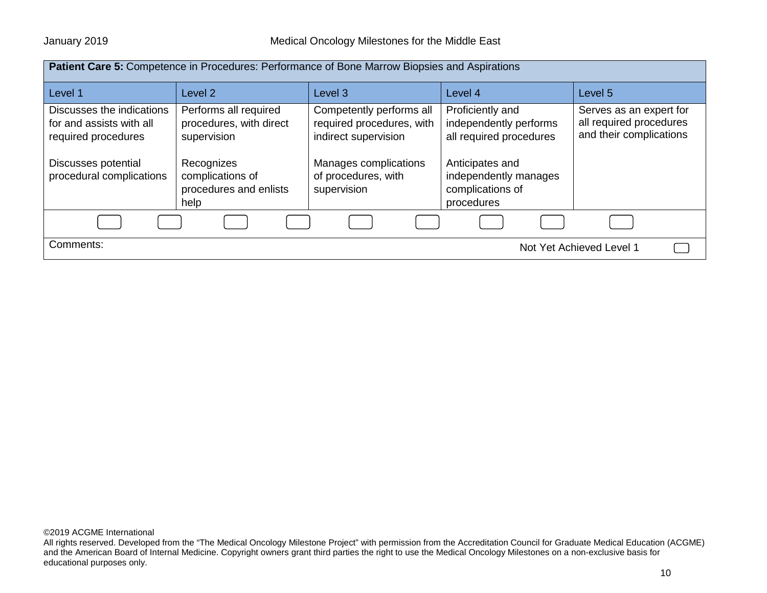| <b>Patient Care 5: Competence in Procedures: Performance of Bone Marrow Biopsies and Aspirations</b> |                                                                  |                                                                               |                                                                            |                                                                               |
|------------------------------------------------------------------------------------------------------|------------------------------------------------------------------|-------------------------------------------------------------------------------|----------------------------------------------------------------------------|-------------------------------------------------------------------------------|
| Level 1                                                                                              | Level <sub>2</sub>                                               | Level <sub>3</sub>                                                            | Level 4                                                                    | Level 5                                                                       |
| Discusses the indications<br>for and assists with all<br>required procedures                         | Performs all required<br>procedures, with direct<br>supervision  | Competently performs all<br>required procedures, with<br>indirect supervision | Proficiently and<br>independently performs<br>all required procedures      | Serves as an expert for<br>all required procedures<br>and their complications |
| Discusses potential<br>procedural complications                                                      | Recognizes<br>complications of<br>procedures and enlists<br>help | Manages complications<br>of procedures, with<br>supervision                   | Anticipates and<br>independently manages<br>complications of<br>procedures |                                                                               |
|                                                                                                      |                                                                  |                                                                               |                                                                            |                                                                               |
| Comments:<br>Not Yet Achieved Level 1                                                                |                                                                  |                                                                               |                                                                            |                                                                               |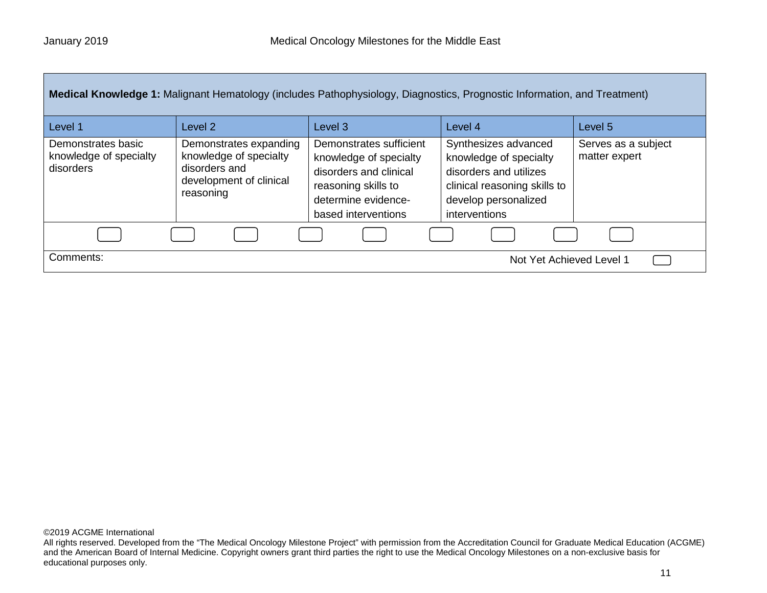| Medical Knowledge 1: Malignant Hematology (includes Pathophysiology, Diagnostics, Prognostic Information, and Treatment) |                                                                                                           |                                                                                                                                                  |                                                                                                                                                   |                                      |
|--------------------------------------------------------------------------------------------------------------------------|-----------------------------------------------------------------------------------------------------------|--------------------------------------------------------------------------------------------------------------------------------------------------|---------------------------------------------------------------------------------------------------------------------------------------------------|--------------------------------------|
| Level 1                                                                                                                  | Level 2                                                                                                   | Level 3                                                                                                                                          | Level 4                                                                                                                                           | Level 5                              |
| Demonstrates basic<br>knowledge of specialty<br>disorders                                                                | Demonstrates expanding<br>knowledge of specialty<br>disorders and<br>development of clinical<br>reasoning | Demonstrates sufficient<br>knowledge of specialty<br>disorders and clinical<br>reasoning skills to<br>determine evidence-<br>based interventions | Synthesizes advanced<br>knowledge of specialty<br>disorders and utilizes<br>clinical reasoning skills to<br>develop personalized<br>interventions | Serves as a subject<br>matter expert |
|                                                                                                                          |                                                                                                           |                                                                                                                                                  |                                                                                                                                                   |                                      |
| Comments:                                                                                                                |                                                                                                           |                                                                                                                                                  | Not Yet Achieved Level 1                                                                                                                          |                                      |

All rights reserved. Developed from the "The Medical Oncology Milestone Project" with permission from the Accreditation Council for Graduate Medical Education (ACGME) and the American Board of Internal Medicine. Copyright owners grant third parties the right to use the Medical Oncology Milestones on a non-exclusive basis for educational purposes only.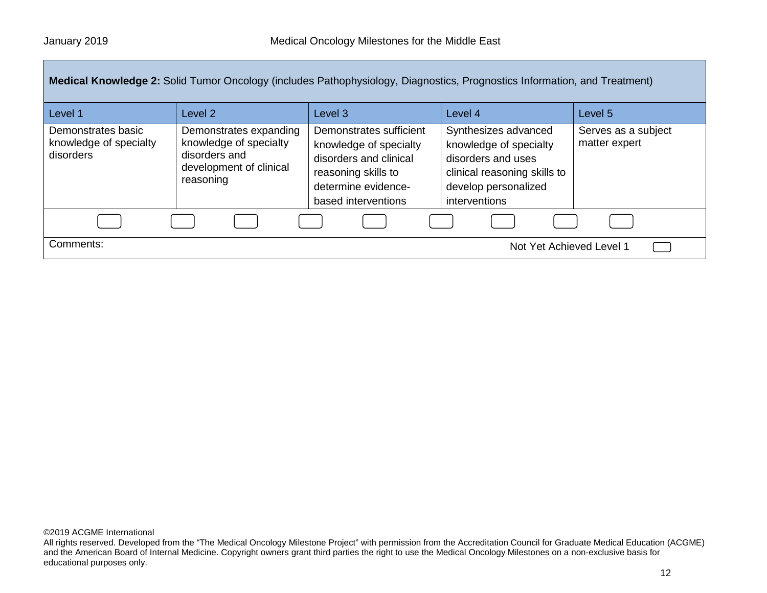|                                                           |                                                                                                           |                                                                                                                                                  | Medical Knowledge 2: Solid Tumor Oncology (includes Pathophysiology, Diagnostics, Prognostics Information, and Treatment)                     |                                      |  |
|-----------------------------------------------------------|-----------------------------------------------------------------------------------------------------------|--------------------------------------------------------------------------------------------------------------------------------------------------|-----------------------------------------------------------------------------------------------------------------------------------------------|--------------------------------------|--|
| Level 1                                                   | Level 2                                                                                                   | Level <sub>3</sub>                                                                                                                               | Level 4                                                                                                                                       | Level <sub>5</sub>                   |  |
| Demonstrates basic<br>knowledge of specialty<br>disorders | Demonstrates expanding<br>knowledge of specialty<br>disorders and<br>development of clinical<br>reasoning | Demonstrates sufficient<br>knowledge of specialty<br>disorders and clinical<br>reasoning skills to<br>determine evidence-<br>based interventions | Synthesizes advanced<br>knowledge of specialty<br>disorders and uses<br>clinical reasoning skills to<br>develop personalized<br>interventions | Serves as a subject<br>matter expert |  |
|                                                           |                                                                                                           |                                                                                                                                                  |                                                                                                                                               |                                      |  |
| Comments:                                                 | Not Yet Achieved Level 1                                                                                  |                                                                                                                                                  |                                                                                                                                               |                                      |  |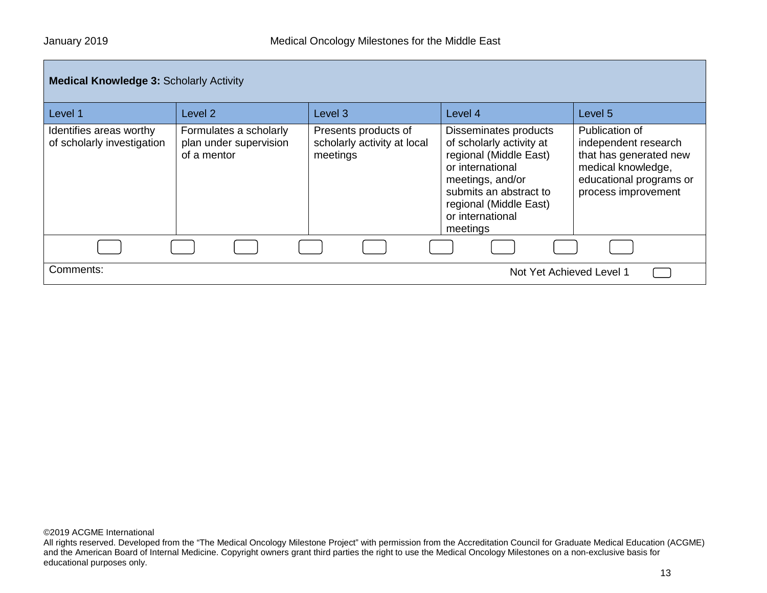| <b>Medical Knowledge 3: Scholarly Activity</b>        |                                                                 |                                                                 |                                                                                                                                                                                                         |                                                                                                                                          |
|-------------------------------------------------------|-----------------------------------------------------------------|-----------------------------------------------------------------|---------------------------------------------------------------------------------------------------------------------------------------------------------------------------------------------------------|------------------------------------------------------------------------------------------------------------------------------------------|
| Level 1                                               | Level 2                                                         | Level 3                                                         | Level 4                                                                                                                                                                                                 | Level 5                                                                                                                                  |
| Identifies areas worthy<br>of scholarly investigation | Formulates a scholarly<br>plan under supervision<br>of a mentor | Presents products of<br>scholarly activity at local<br>meetings | Disseminates products<br>of scholarly activity at<br>regional (Middle East)<br>or international<br>meetings, and/or<br>submits an abstract to<br>regional (Middle East)<br>or international<br>meetings | Publication of<br>independent research<br>that has generated new<br>medical knowledge,<br>educational programs or<br>process improvement |
|                                                       |                                                                 |                                                                 |                                                                                                                                                                                                         |                                                                                                                                          |
| Comments:                                             |                                                                 |                                                                 | Not Yet Achieved Level 1                                                                                                                                                                                |                                                                                                                                          |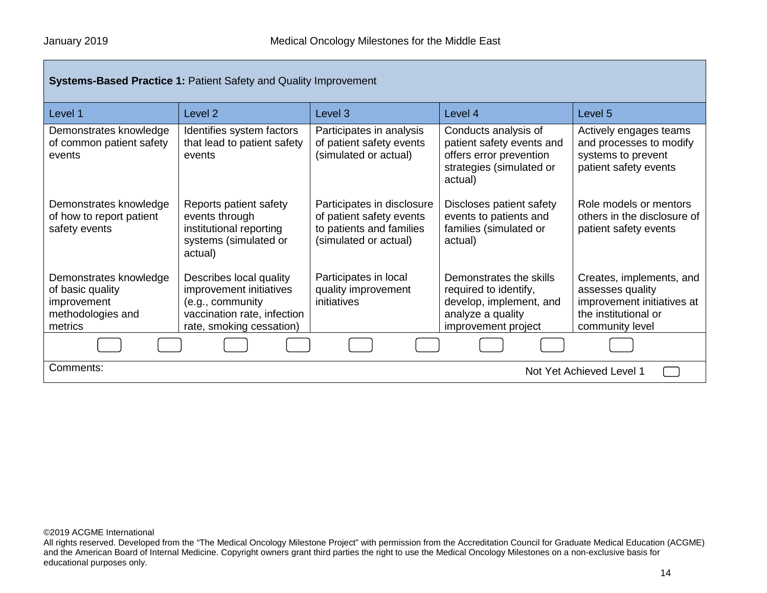| <b>Systems-Based Practice 1: Patient Safety and Quality Improvement</b>                   |                                                                                                                                   |                                                                                                             |                                                                                                                         |                                                                                                                       |
|-------------------------------------------------------------------------------------------|-----------------------------------------------------------------------------------------------------------------------------------|-------------------------------------------------------------------------------------------------------------|-------------------------------------------------------------------------------------------------------------------------|-----------------------------------------------------------------------------------------------------------------------|
| Level 1                                                                                   | Level <sub>2</sub>                                                                                                                | Level 3                                                                                                     | Level 4                                                                                                                 | Level 5                                                                                                               |
| Demonstrates knowledge<br>of common patient safety<br>events                              | Identifies system factors<br>that lead to patient safety<br>events                                                                | Participates in analysis<br>of patient safety events<br>(simulated or actual)                               | Conducts analysis of<br>patient safety events and<br>offers error prevention<br>strategies (simulated or<br>actual)     | Actively engages teams<br>and processes to modify<br>systems to prevent<br>patient safety events                      |
| Demonstrates knowledge<br>of how to report patient<br>safety events                       | Reports patient safety<br>events through<br>institutional reporting<br>systems (simulated or<br>actual)                           | Participates in disclosure<br>of patient safety events<br>to patients and families<br>(simulated or actual) | Discloses patient safety<br>events to patients and<br>families (simulated or<br>actual)                                 | Role models or mentors<br>others in the disclosure of<br>patient safety events                                        |
| Demonstrates knowledge<br>of basic quality<br>improvement<br>methodologies and<br>metrics | Describes local quality<br>improvement initiatives<br>(e.g., community<br>vaccination rate, infection<br>rate, smoking cessation) | Participates in local<br>quality improvement<br>initiatives                                                 | Demonstrates the skills<br>required to identify,<br>develop, implement, and<br>analyze a quality<br>improvement project | Creates, implements, and<br>assesses quality<br>improvement initiatives at<br>the institutional or<br>community level |
|                                                                                           |                                                                                                                                   |                                                                                                             |                                                                                                                         |                                                                                                                       |
| Comments:<br>Not Yet Achieved Level 1                                                     |                                                                                                                                   |                                                                                                             |                                                                                                                         |                                                                                                                       |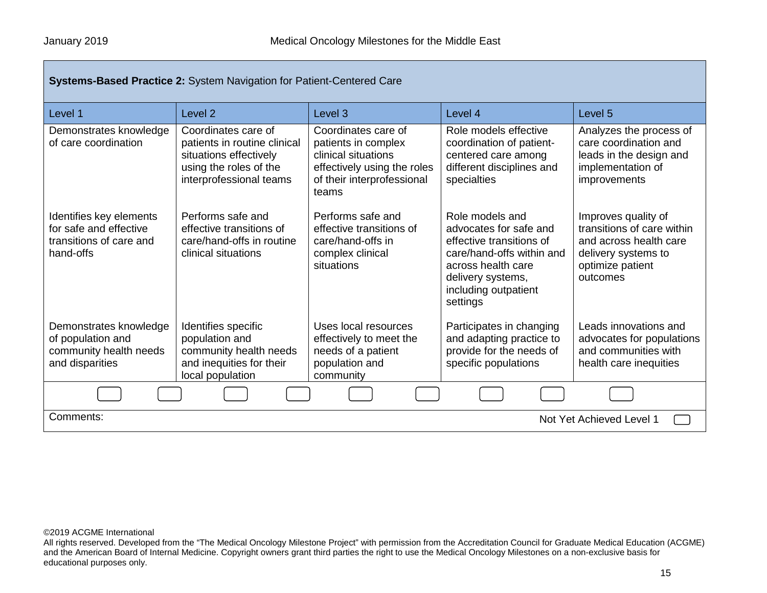| Systems-Based Practice 2: System Navigation for Patient-Centered Care                     |                                                                                                                                    |                                                                                                                                         |                                                                                                                                                                                   |                                                                                                                                    |
|-------------------------------------------------------------------------------------------|------------------------------------------------------------------------------------------------------------------------------------|-----------------------------------------------------------------------------------------------------------------------------------------|-----------------------------------------------------------------------------------------------------------------------------------------------------------------------------------|------------------------------------------------------------------------------------------------------------------------------------|
| Level 1                                                                                   | Level <sub>2</sub>                                                                                                                 | Level <sub>3</sub>                                                                                                                      | Level 4                                                                                                                                                                           | Level 5                                                                                                                            |
| Demonstrates knowledge<br>of care coordination                                            | Coordinates care of<br>patients in routine clinical<br>situations effectively<br>using the roles of the<br>interprofessional teams | Coordinates care of<br>patients in complex<br>clinical situations<br>effectively using the roles<br>of their interprofessional<br>teams | Role models effective<br>coordination of patient-<br>centered care among<br>different disciplines and<br>specialties                                                              | Analyzes the process of<br>care coordination and<br>leads in the design and<br>implementation of<br>improvements                   |
| Identifies key elements<br>for safe and effective<br>transitions of care and<br>hand-offs | Performs safe and<br>effective transitions of<br>care/hand-offs in routine<br>clinical situations                                  | Performs safe and<br>effective transitions of<br>care/hand-offs in<br>complex clinical<br>situations                                    | Role models and<br>advocates for safe and<br>effective transitions of<br>care/hand-offs within and<br>across health care<br>delivery systems,<br>including outpatient<br>settings | Improves quality of<br>transitions of care within<br>and across health care<br>delivery systems to<br>optimize patient<br>outcomes |
| Demonstrates knowledge<br>of population and<br>community health needs<br>and disparities  | Identifies specific<br>population and<br>community health needs<br>and inequities for their<br>local population                    | Uses local resources<br>effectively to meet the<br>needs of a patient<br>population and<br>community                                    | Participates in changing<br>and adapting practice to<br>provide for the needs of<br>specific populations                                                                          | Leads innovations and<br>advocates for populations<br>and communities with<br>health care inequities                               |
|                                                                                           |                                                                                                                                    |                                                                                                                                         |                                                                                                                                                                                   |                                                                                                                                    |
| Comments:<br>Not Yet Achieved Level 1                                                     |                                                                                                                                    |                                                                                                                                         |                                                                                                                                                                                   |                                                                                                                                    |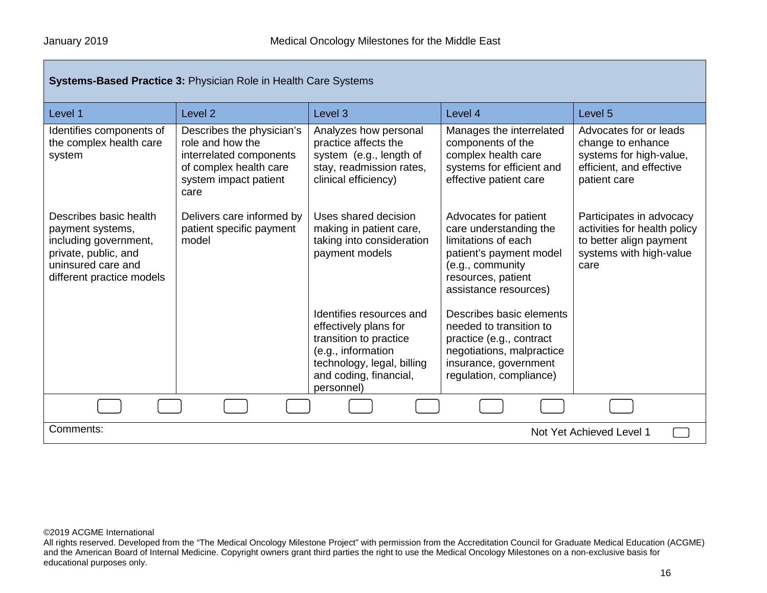| <b>Systems-Based Practice 3: Physician Role in Health Care Systems</b>                                                                         |                                                                                                                                     |                                                                                                                                                                         |                                                                                                                                                                      |                                                                                                                        |
|------------------------------------------------------------------------------------------------------------------------------------------------|-------------------------------------------------------------------------------------------------------------------------------------|-------------------------------------------------------------------------------------------------------------------------------------------------------------------------|----------------------------------------------------------------------------------------------------------------------------------------------------------------------|------------------------------------------------------------------------------------------------------------------------|
| Level 1                                                                                                                                        | Level <sub>2</sub>                                                                                                                  | Level <sub>3</sub>                                                                                                                                                      | Level 4                                                                                                                                                              | Level 5                                                                                                                |
| Identifies components of<br>the complex health care<br>system                                                                                  | Describes the physician's<br>role and how the<br>interrelated components<br>of complex health care<br>system impact patient<br>care | Analyzes how personal<br>practice affects the<br>system (e.g., length of<br>stay, readmission rates,<br>clinical efficiency)                                            | Manages the interrelated<br>components of the<br>complex health care<br>systems for efficient and<br>effective patient care                                          | Advocates for or leads<br>change to enhance<br>systems for high-value,<br>efficient, and effective<br>patient care     |
| Describes basic health<br>payment systems,<br>including government,<br>private, public, and<br>uninsured care and<br>different practice models | Delivers care informed by<br>patient specific payment<br>model                                                                      | Uses shared decision<br>making in patient care,<br>taking into consideration<br>payment models                                                                          | Advocates for patient<br>care understanding the<br>limitations of each<br>patient's payment model<br>(e.g., community<br>resources, patient<br>assistance resources) | Participates in advocacy<br>activities for health policy<br>to better align payment<br>systems with high-value<br>care |
|                                                                                                                                                |                                                                                                                                     | Identifies resources and<br>effectively plans for<br>transition to practice<br>(e.g., information<br>technology, legal, billing<br>and coding, financial,<br>personnel) | Describes basic elements<br>needed to transition to<br>practice (e.g., contract<br>negotiations, malpractice<br>insurance, government<br>regulation, compliance)     |                                                                                                                        |
|                                                                                                                                                |                                                                                                                                     |                                                                                                                                                                         |                                                                                                                                                                      |                                                                                                                        |
| Comments:<br>Not Yet Achieved Level 1                                                                                                          |                                                                                                                                     |                                                                                                                                                                         |                                                                                                                                                                      |                                                                                                                        |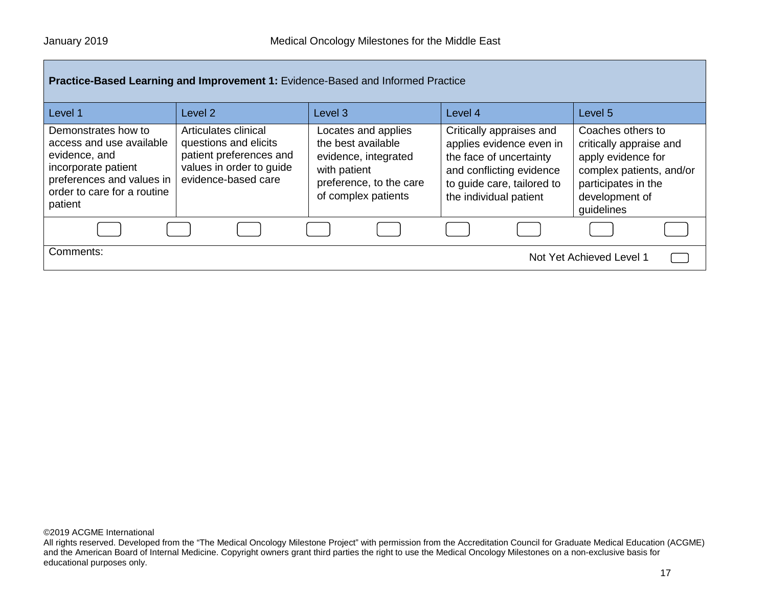| Practice-Based Learning and Improvement 1: Evidence-Based and Informed Practice                                                                                |                                                                                                                             |                                                                                                                                     |                                                                                                                                                                     |                                                                                                                                                       |
|----------------------------------------------------------------------------------------------------------------------------------------------------------------|-----------------------------------------------------------------------------------------------------------------------------|-------------------------------------------------------------------------------------------------------------------------------------|---------------------------------------------------------------------------------------------------------------------------------------------------------------------|-------------------------------------------------------------------------------------------------------------------------------------------------------|
| Level 1                                                                                                                                                        | Level 2                                                                                                                     | Level <sub>3</sub>                                                                                                                  | Level 4                                                                                                                                                             | Level <sub>5</sub>                                                                                                                                    |
| Demonstrates how to<br>access and use available<br>evidence, and<br>incorporate patient<br>preferences and values in<br>order to care for a routine<br>patient | Articulates clinical<br>questions and elicits<br>patient preferences and<br>values in order to guide<br>evidence-based care | Locates and applies<br>the best available<br>evidence, integrated<br>with patient<br>preference, to the care<br>of complex patients | Critically appraises and<br>applies evidence even in<br>the face of uncertainty<br>and conflicting evidence<br>to guide care, tailored to<br>the individual patient | Coaches others to<br>critically appraise and<br>apply evidence for<br>complex patients, and/or<br>participates in the<br>development of<br>guidelines |
|                                                                                                                                                                |                                                                                                                             |                                                                                                                                     |                                                                                                                                                                     |                                                                                                                                                       |
| Comments:<br>Not Yet Achieved Level 1                                                                                                                          |                                                                                                                             |                                                                                                                                     |                                                                                                                                                                     |                                                                                                                                                       |

All rights reserved. Developed from the "The Medical Oncology Milestone Project" with permission from the Accreditation Council for Graduate Medical Education (ACGME) and the American Board of Internal Medicine. Copyright owners grant third parties the right to use the Medical Oncology Milestones on a non-exclusive basis for educational purposes only.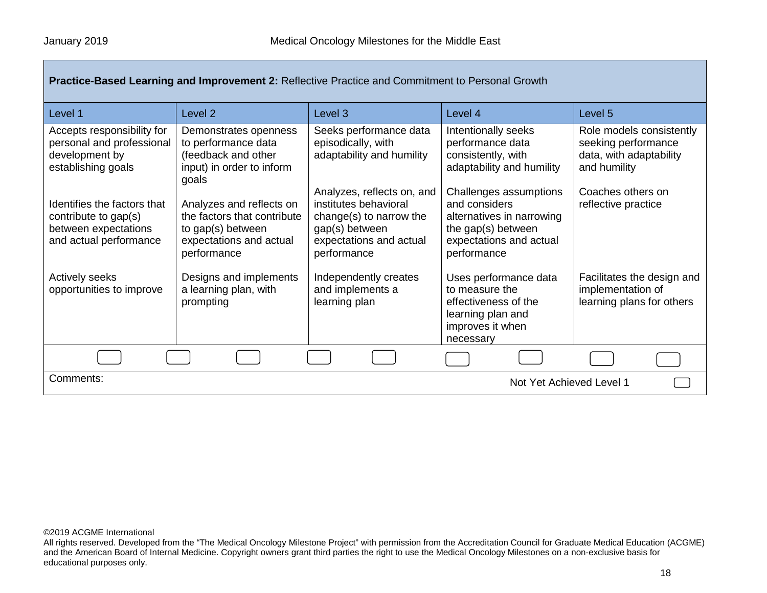| Level 1                                                                                               | Level <sub>2</sub>                                                                                                     | Level 3                                                                                                                                    | Level 4                                                                                                                              | Level 5                                                                                    |
|-------------------------------------------------------------------------------------------------------|------------------------------------------------------------------------------------------------------------------------|--------------------------------------------------------------------------------------------------------------------------------------------|--------------------------------------------------------------------------------------------------------------------------------------|--------------------------------------------------------------------------------------------|
| Accepts responsibility for<br>personal and professional<br>development by<br>establishing goals       | Demonstrates openness<br>to performance data<br>(feedback and other<br>input) in order to inform<br>goals              | Seeks performance data<br>episodically, with<br>adaptability and humility                                                                  | Intentionally seeks<br>performance data<br>consistently, with<br>adaptability and humility                                           | Role models consistently<br>seeking performance<br>data, with adaptability<br>and humility |
| Identifies the factors that<br>contribute to gap(s)<br>between expectations<br>and actual performance | Analyzes and reflects on<br>the factors that contribute<br>to gap(s) between<br>expectations and actual<br>performance | Analyzes, reflects on, and<br>institutes behavioral<br>change(s) to narrow the<br>gap(s) between<br>expectations and actual<br>performance | Challenges assumptions<br>and considers<br>alternatives in narrowing<br>the gap(s) between<br>expectations and actual<br>performance | Coaches others on<br>reflective practice                                                   |
| <b>Actively seeks</b><br>opportunities to improve                                                     | Designs and implements<br>a learning plan, with<br>prompting                                                           | Independently creates<br>and implements a<br>learning plan                                                                                 | Uses performance data<br>to measure the<br>effectiveness of the<br>learning plan and<br>improves it when<br>necessary                | Facilitates the design and<br>implementation of<br>learning plans for others               |
|                                                                                                       |                                                                                                                        |                                                                                                                                            |                                                                                                                                      |                                                                                            |
| Comments:<br>Not Yet Achieved Level 1                                                                 |                                                                                                                        |                                                                                                                                            |                                                                                                                                      |                                                                                            |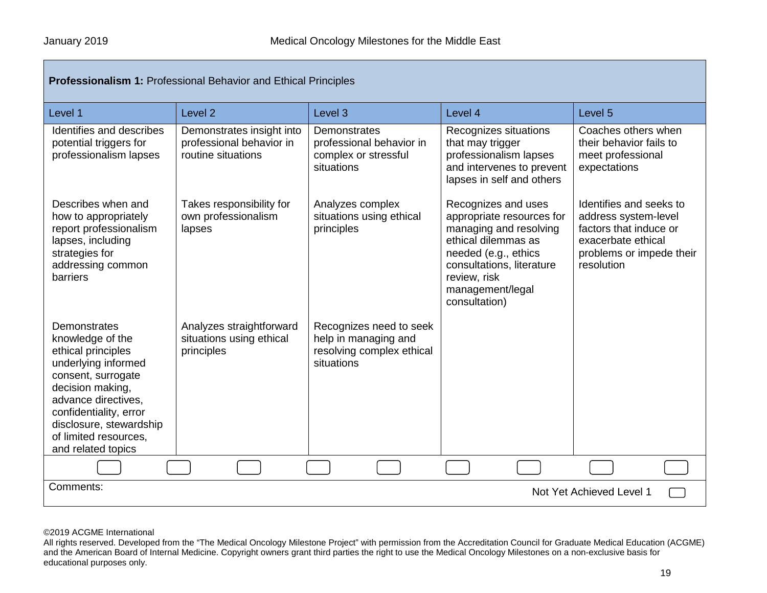| Professionalism 1: Professional Behavior and Ethical Principles                                                                                                                                                                                    |                                                                             |                                                                                            |                                                                                                                                                                                                             |                                                                                                                                           |  |
|----------------------------------------------------------------------------------------------------------------------------------------------------------------------------------------------------------------------------------------------------|-----------------------------------------------------------------------------|--------------------------------------------------------------------------------------------|-------------------------------------------------------------------------------------------------------------------------------------------------------------------------------------------------------------|-------------------------------------------------------------------------------------------------------------------------------------------|--|
| Level 1                                                                                                                                                                                                                                            | Level <sub>2</sub>                                                          | Level <sub>3</sub>                                                                         | Level 4                                                                                                                                                                                                     | Level <sub>5</sub>                                                                                                                        |  |
| Identifies and describes<br>potential triggers for<br>professionalism lapses                                                                                                                                                                       | Demonstrates insight into<br>professional behavior in<br>routine situations | Demonstrates<br>professional behavior in<br>complex or stressful<br>situations             | Recognizes situations<br>that may trigger<br>professionalism lapses<br>and intervenes to prevent<br>lapses in self and others                                                                               | Coaches others when<br>their behavior fails to<br>meet professional<br>expectations                                                       |  |
| Describes when and<br>how to appropriately<br>report professionalism<br>lapses, including<br>strategies for<br>addressing common<br><b>barriers</b>                                                                                                | Takes responsibility for<br>own professionalism<br>lapses                   | Analyzes complex<br>situations using ethical<br>principles                                 | Recognizes and uses<br>appropriate resources for<br>managing and resolving<br>ethical dilemmas as<br>needed (e.g., ethics<br>consultations, literature<br>review, risk<br>management/legal<br>consultation) | Identifies and seeks to<br>address system-level<br>factors that induce or<br>exacerbate ethical<br>problems or impede their<br>resolution |  |
| Demonstrates<br>knowledge of the<br>ethical principles<br>underlying informed<br>consent, surrogate<br>decision making,<br>advance directives,<br>confidentiality, error<br>disclosure, stewardship<br>of limited resources,<br>and related topics | Analyzes straightforward<br>situations using ethical<br>principles          | Recognizes need to seek<br>help in managing and<br>resolving complex ethical<br>situations |                                                                                                                                                                                                             |                                                                                                                                           |  |
|                                                                                                                                                                                                                                                    |                                                                             |                                                                                            |                                                                                                                                                                                                             |                                                                                                                                           |  |
| Comments:<br>Not Yet Achieved Level 1                                                                                                                                                                                                              |                                                                             |                                                                                            |                                                                                                                                                                                                             |                                                                                                                                           |  |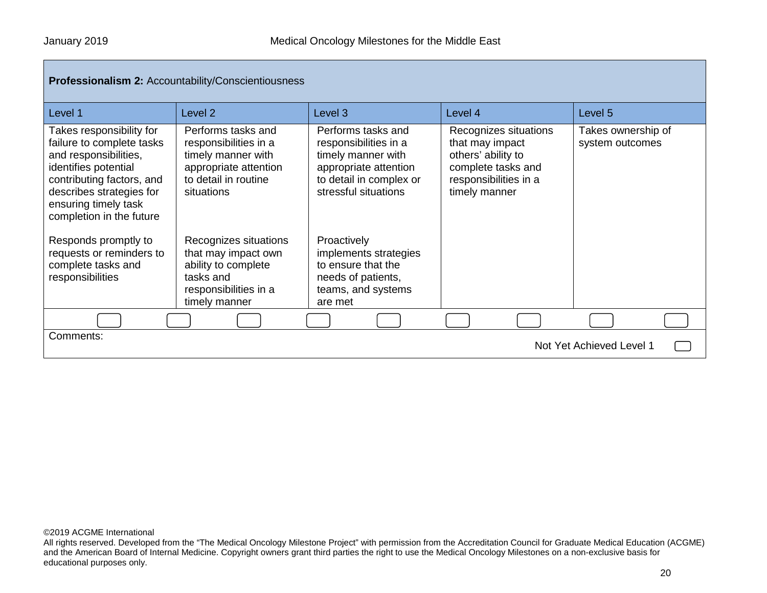| <b>Professionalism 2: Accountability/Conscientiousness</b> |  |
|------------------------------------------------------------|--|
|------------------------------------------------------------|--|

| Level 1                                                                                                                                                                                                             | Level 2                                                                                                                          | Level <sub>3</sub>                                                                                                                            | Level 4                                                                                                                        | Level <sub>5</sub>                    |
|---------------------------------------------------------------------------------------------------------------------------------------------------------------------------------------------------------------------|----------------------------------------------------------------------------------------------------------------------------------|-----------------------------------------------------------------------------------------------------------------------------------------------|--------------------------------------------------------------------------------------------------------------------------------|---------------------------------------|
| Takes responsibility for<br>failure to complete tasks<br>and responsibilities,<br>identifies potential<br>contributing factors, and<br>describes strategies for<br>ensuring timely task<br>completion in the future | Performs tasks and<br>responsibilities in a<br>timely manner with<br>appropriate attention<br>to detail in routine<br>situations | Performs tasks and<br>responsibilities in a<br>timely manner with<br>appropriate attention<br>to detail in complex or<br>stressful situations | Recognizes situations<br>that may impact<br>others' ability to<br>complete tasks and<br>responsibilities in a<br>timely manner | Takes ownership of<br>system outcomes |
| Responds promptly to<br>requests or reminders to<br>complete tasks and<br>responsibilities                                                                                                                          | Recognizes situations<br>that may impact own<br>ability to complete<br>tasks and<br>responsibilities in a<br>timely manner       | Proactively<br>implements strategies<br>to ensure that the<br>needs of patients,<br>teams, and systems<br>are met                             |                                                                                                                                |                                       |
|                                                                                                                                                                                                                     |                                                                                                                                  |                                                                                                                                               |                                                                                                                                |                                       |
| Comments:<br>Not Yet Achieved Level 1                                                                                                                                                                               |                                                                                                                                  |                                                                                                                                               |                                                                                                                                |                                       |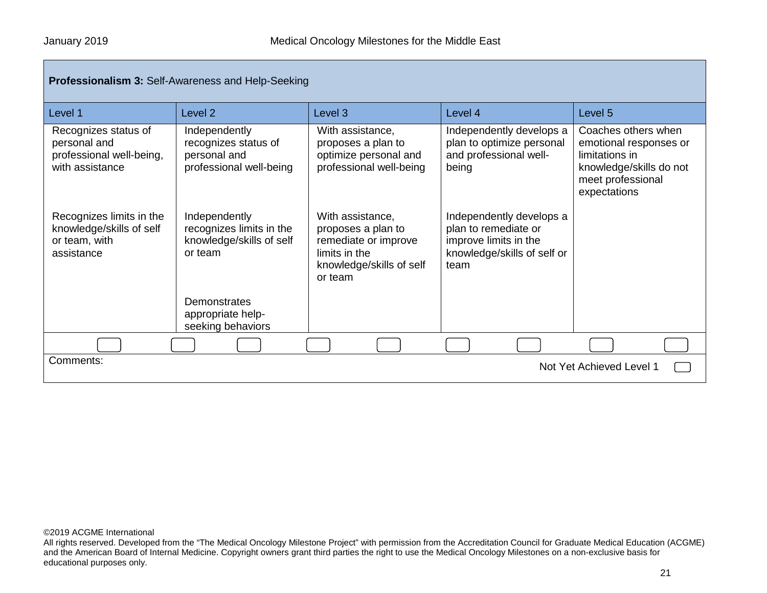| <b>Professionalism 3: Self-Awareness and Help-Seeking</b>                           |                                                                                  |                                                                                                                        |                                                                                                                  |                                                                                                                                 |  |
|-------------------------------------------------------------------------------------|----------------------------------------------------------------------------------|------------------------------------------------------------------------------------------------------------------------|------------------------------------------------------------------------------------------------------------------|---------------------------------------------------------------------------------------------------------------------------------|--|
| Level 1                                                                             | Level <sub>2</sub>                                                               | Level 3                                                                                                                | Level 4                                                                                                          | Level 5                                                                                                                         |  |
| Recognizes status of<br>personal and<br>professional well-being,<br>with assistance | Independently<br>recognizes status of<br>personal and<br>professional well-being | With assistance,<br>proposes a plan to<br>optimize personal and<br>professional well-being                             | Independently develops a<br>plan to optimize personal<br>and professional well-<br>being                         | Coaches others when<br>emotional responses or<br>limitations in<br>knowledge/skills do not<br>meet professional<br>expectations |  |
| Recognizes limits in the<br>knowledge/skills of self<br>or team, with<br>assistance | Independently<br>recognizes limits in the<br>knowledge/skills of self<br>or team | With assistance,<br>proposes a plan to<br>remediate or improve<br>limits in the<br>knowledge/skills of self<br>or team | Independently develops a<br>plan to remediate or<br>improve limits in the<br>knowledge/skills of self or<br>team |                                                                                                                                 |  |
|                                                                                     | Demonstrates<br>appropriate help-<br>seeking behaviors                           |                                                                                                                        |                                                                                                                  |                                                                                                                                 |  |
|                                                                                     |                                                                                  |                                                                                                                        |                                                                                                                  |                                                                                                                                 |  |
| Comments:<br>Not Yet Achieved Level 1                                               |                                                                                  |                                                                                                                        |                                                                                                                  |                                                                                                                                 |  |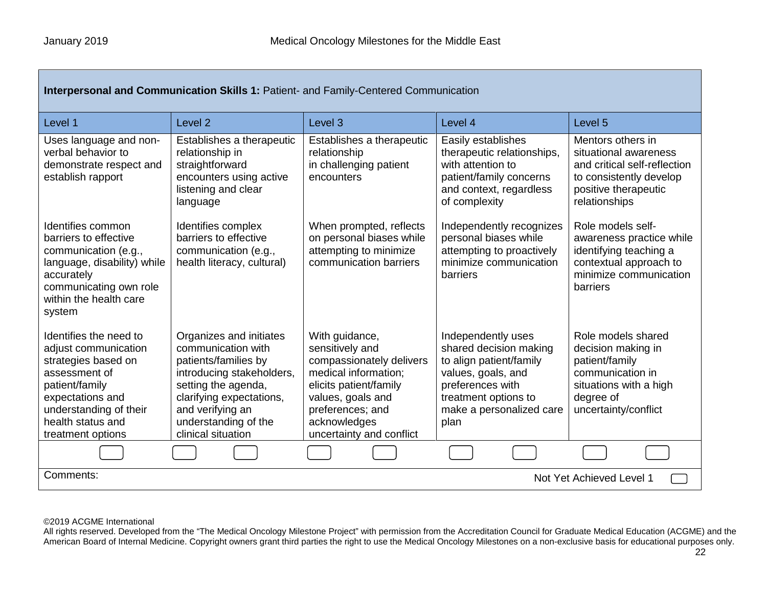| Interpersonal and Communication Skills 1: Patient- and Family-Centered Communication                                                                                                             |                                                                                                                                                                                                                         |                                                                                                                                                                                                      |                                                                                                                                                                               |                                                                                                                                                |
|--------------------------------------------------------------------------------------------------------------------------------------------------------------------------------------------------|-------------------------------------------------------------------------------------------------------------------------------------------------------------------------------------------------------------------------|------------------------------------------------------------------------------------------------------------------------------------------------------------------------------------------------------|-------------------------------------------------------------------------------------------------------------------------------------------------------------------------------|------------------------------------------------------------------------------------------------------------------------------------------------|
| Level 1                                                                                                                                                                                          | Level <sub>2</sub>                                                                                                                                                                                                      | Level <sub>3</sub>                                                                                                                                                                                   | Level 4                                                                                                                                                                       | Level <sub>5</sub>                                                                                                                             |
| Uses language and non-<br>verbal behavior to<br>demonstrate respect and<br>establish rapport                                                                                                     | Establishes a therapeutic<br>relationship in<br>straightforward<br>encounters using active<br>listening and clear<br>language                                                                                           | Establishes a therapeutic<br>relationship<br>in challenging patient<br>encounters                                                                                                                    | Easily establishes<br>therapeutic relationships,<br>with attention to<br>patient/family concerns<br>and context, regardless<br>of complexity                                  | Mentors others in<br>situational awareness<br>and critical self-reflection<br>to consistently develop<br>positive therapeutic<br>relationships |
| Identifies common<br>barriers to effective<br>communication (e.g.,<br>language, disability) while<br>accurately<br>communicating own role<br>within the health care<br>system                    | Identifies complex<br>barriers to effective<br>communication (e.g.,<br>health literacy, cultural)                                                                                                                       | When prompted, reflects<br>on personal biases while<br>attempting to minimize<br>communication barriers                                                                                              | Independently recognizes<br>personal biases while<br>attempting to proactively<br>minimize communication<br>barriers                                                          | Role models self-<br>awareness practice while<br>identifying teaching a<br>contextual approach to<br>minimize communication<br>barriers        |
| Identifies the need to<br>adjust communication<br>strategies based on<br>assessment of<br>patient/family<br>expectations and<br>understanding of their<br>health status and<br>treatment options | Organizes and initiates<br>communication with<br>patients/families by<br>introducing stakeholders,<br>setting the agenda,<br>clarifying expectations,<br>and verifying an<br>understanding of the<br>clinical situation | With guidance,<br>sensitively and<br>compassionately delivers<br>medical information;<br>elicits patient/family<br>values, goals and<br>preferences; and<br>acknowledges<br>uncertainty and conflict | Independently uses<br>shared decision making<br>to align patient/family<br>values, goals, and<br>preferences with<br>treatment options to<br>make a personalized care<br>plan | Role models shared<br>decision making in<br>patient/family<br>communication in<br>situations with a high<br>degree of<br>uncertainty/conflict  |
|                                                                                                                                                                                                  |                                                                                                                                                                                                                         |                                                                                                                                                                                                      |                                                                                                                                                                               |                                                                                                                                                |
| Comments:<br>Not Yet Achieved Level 1                                                                                                                                                            |                                                                                                                                                                                                                         |                                                                                                                                                                                                      |                                                                                                                                                                               |                                                                                                                                                |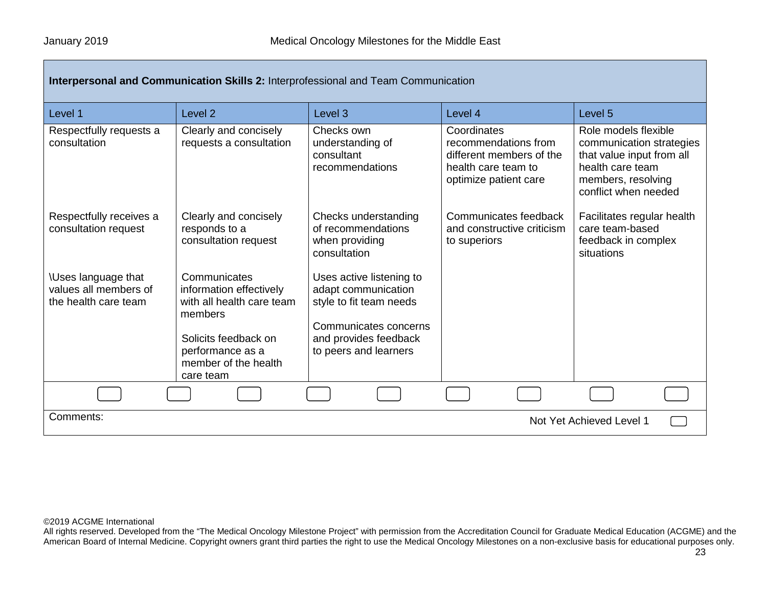| <b>Interpersonal and Communication Skills 2: Interprofessional and Team Communication</b> |                                                                                                                             |                                                                                                                                                       |                                                                                                                 |                                                                                                                                                 |
|-------------------------------------------------------------------------------------------|-----------------------------------------------------------------------------------------------------------------------------|-------------------------------------------------------------------------------------------------------------------------------------------------------|-----------------------------------------------------------------------------------------------------------------|-------------------------------------------------------------------------------------------------------------------------------------------------|
| Level 1                                                                                   | Level <sub>2</sub>                                                                                                          | Level <sub>3</sub>                                                                                                                                    | Level 4                                                                                                         | Level 5                                                                                                                                         |
| Respectfully requests a<br>consultation                                                   | Clearly and concisely<br>requests a consultation                                                                            | Checks own<br>understanding of<br>consultant<br>recommendations                                                                                       | Coordinates<br>recommendations from<br>different members of the<br>health care team to<br>optimize patient care | Role models flexible<br>communication strategies<br>that value input from all<br>health care team<br>members, resolving<br>conflict when needed |
| Respectfully receives a<br>consultation request                                           | Clearly and concisely<br>responds to a<br>consultation request                                                              | Checks understanding<br>of recommendations<br>when providing<br>consultation                                                                          | Communicates feedback<br>and constructive criticism<br>to superiors                                             | Facilitates regular health<br>care team-based<br>feedback in complex<br>situations                                                              |
| <b>\Uses language that</b><br>values all members of<br>the health care team               | Communicates<br>information effectively<br>with all health care team<br>members<br>Solicits feedback on<br>performance as a | Uses active listening to<br>adapt communication<br>style to fit team needs<br>Communicates concerns<br>and provides feedback<br>to peers and learners |                                                                                                                 |                                                                                                                                                 |
|                                                                                           | member of the health<br>care team                                                                                           |                                                                                                                                                       |                                                                                                                 |                                                                                                                                                 |
|                                                                                           |                                                                                                                             |                                                                                                                                                       |                                                                                                                 |                                                                                                                                                 |
| Comments:<br>Not Yet Achieved Level 1                                                     |                                                                                                                             |                                                                                                                                                       |                                                                                                                 |                                                                                                                                                 |